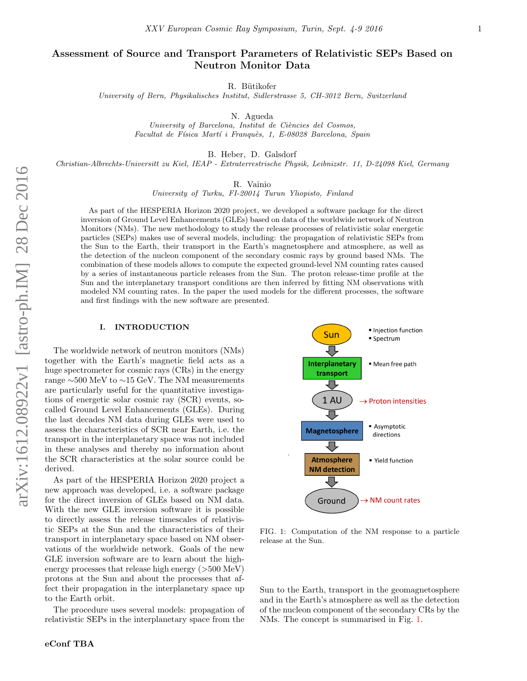# Assessment of Source and Transport Parameters of Relativistic SEPs Based on Neutron Monitor Data

R. Bütikofer

University of Bern, Physikalisches Institut, Sidlerstrasse 5, CH-3012 Bern, Switzerland

N. Agueda

University of Barcelona, Institut de Ciències del Cosmos, Facultat de Física Martí i Franquès, 1, E-08028 Barcelona, Spain

B. Heber, D. Galsdorf

Christian-Albrechts-Universitt zu Kiel, IEAP - Extraterrestrische Physik, Leibnizstr. 11, D-24098 Kiel, Germany

R. Vainio

University of Turku, FI-20014 Turun Yliopisto, Finland

As part of the HESPERIA Horizon 2020 project, we developed a software package for the direct inversion of Ground Level Enhancements (GLEs) based on data of the worldwide network of Neutron Monitors (NMs). The new methodology to study the release processes of relativistic solar energetic particles (SEPs) makes use of several models, including: the propagation of relativistic SEPs from the Sun to the Earth, their transport in the Earth's magnetosphere and atmosphere, as well as the detection of the nucleon component of the secondary cosmic rays by ground based NMs. The combination of these models allows to compute the expected ground-level NM counting rates caused by a series of instantaneous particle releases from the Sun. The proton release-time profile at the Sun and the interplanetary transport conditions are then inferred by fitting NM observations with modeled NM counting rates. In the paper the used models for the different processes, the software and first findings with the new software are presented.

### I. INTRODUCTION

The worldwide network of neutron monitors (NMs) together with the Earth's magnetic field acts as a huge spectrometer for cosmic rays (CRs) in the energy range ∼500 MeV to ∼15 GeV. The NM measurements are particularly useful for the quantitative investigations of energetic solar cosmic ray (SCR) events, socalled Ground Level Enhancements (GLEs). During the last decades NM data during GLEs were used to assess the characteristics of SCR near Earth, i.e. the transport in the interplanetary space was not included in these analyses and thereby no information about the SCR characteristics at the solar source could be derived.

As part of the HESPERIA Horizon 2020 project a new approach was developed, i.e. a software package for the direct inversion of GLEs based on NM data. With the new GLE inversion software it is possible to directly assess the release timescales of relativistic SEPs at the Sun and the characteristics of their transport in interplanetary space based on NM observations of the worldwide network. Goals of the new GLE inversion software are to learn about the highenergy processes that release high energy  $(>500 \text{ MeV})$ protons at the Sun and about the processes that affect their propagation in the interplanetary space up to the Earth orbit.

The procedure uses several models: propagation of relativistic SEPs in the interplanetary space from the



<span id="page-0-0"></span>FIG. 1: Computation of the NM response to a particle release at the Sun.

Sun to the Earth, transport in the geomagnetosphere and in the Earth's atmosphere as well as the detection of the nucleon component of the secondary CRs by the NMs. The concept is summarised in Fig. [1.](#page-0-0)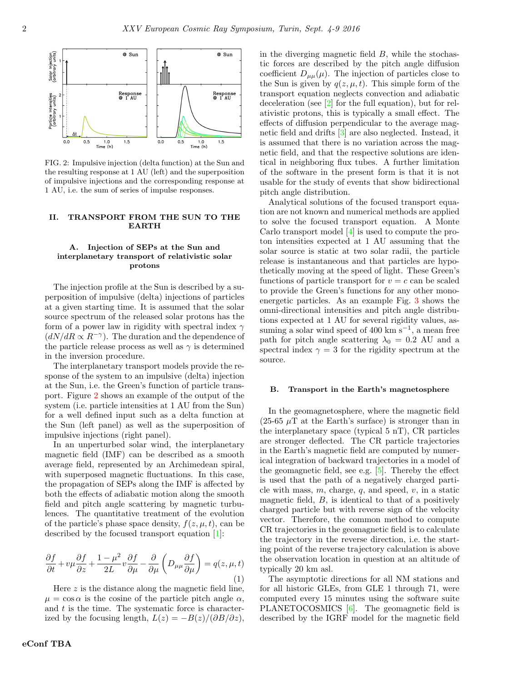

<span id="page-1-0"></span>FIG. 2: Impulsive injection (delta function) at the Sun and the resulting response at 1 AU (left) and the superposition of impulsive injections and the corresponding response at 1 AU, i.e. the sum of series of impulse responses.

# II. TRANSPORT FROM THE SUN TO THE EARTH

# A. Injection of SEPs at the Sun and interplanetary transport of relativistic solar protons

The injection profile at the Sun is described by a superposition of impulsive (delta) injections of particles at a given starting time. It is assumed that the solar source spectrum of the released solar protons has the form of a power law in rigidity with spectral index  $\gamma$  $(dN/dR \propto R^{-\gamma})$ . The duration and the dependence of the particle release process as well as  $\gamma$  is determined in the inversion procedure.

The interplanetary transport models provide the response of the system to an impulsive (delta) injection at the Sun, i.e. the Green's function of particle transport. Figure [2](#page-1-0) shows an example of the output of the system (i.e. particle intensities at 1 AU from the Sun) for a well defined input such as a delta function at the Sun (left panel) as well as the superposition of impulsive injections (right panel).

In an unperturbed solar wind, the interplanetary magnetic field (IMF) can be described as a smooth average field, represented by an Archimedean spiral, with superposed magnetic fluctuations. In this case, the propagation of SEPs along the IMF is affected by both the effects of adiabatic motion along the smooth field and pitch angle scattering by magnetic turbulences. The quantitative treatment of the evolution of the particle's phase space density,  $f(z, \mu, t)$ , can be described by the focused transport equation [\[1\]](#page-3-0):

$$
\frac{\partial f}{\partial t} + v\mu \frac{\partial f}{\partial z} + \frac{1 - \mu^2}{2L} v \frac{\partial f}{\partial \mu} - \frac{\partial}{\partial \mu} \left( D_{\mu\mu} \frac{\partial f}{\partial \mu} \right) = q(z, \mu, t)
$$
\n(1)

Here z is the distance along the magnetic field line,  $\mu = \cos \alpha$  is the cosine of the particle pitch angle  $\alpha$ , and  $t$  is the time. The systematic force is characterized by the focusing length,  $L(z) = -B(z)/(\partial B/\partial z)$ , in the diverging magnetic field B, while the stochastic forces are described by the pitch angle diffusion coefficient  $D_{\mu\mu}(\mu)$ . The injection of particles close to the Sun is given by  $q(z, \mu, t)$ . This simple form of the transport equation neglects convection and adiabatic deceleration (see [\[2\]](#page-3-1) for the full equation), but for relativistic protons, this is typically a small effect. The effects of diffusion perpendicular to the average magnetic field and drifts [\[3\]](#page-3-2) are also neglected. Instead, it is assumed that there is no variation across the magnetic field, and that the respective solutions are identical in neighboring flux tubes. A further limitation of the software in the present form is that it is not usable for the study of events that show bidirectional pitch angle distribution.

Analytical solutions of the focused transport equation are not known and numerical methods are applied to solve the focused transport equation. A Monte Carlo transport model [\[4\]](#page-3-3) is used to compute the proton intensities expected at 1 AU assuming that the solar source is static at two solar radii, the particle release is instantaneous and that particles are hypothetically moving at the speed of light. These Green's functions of particle transport for  $v = c$  can be scaled to provide the Green's functions for any other monoenergetic particles. As an example Fig. [3](#page-2-0) shows the omni-directional intensities and pitch angle distributions expected at 1 AU for several rigidity values, assuming a solar wind speed of 400 km  $s^{-1}$ , a mean free path for pitch angle scattering  $\lambda_0 = 0.2$  AU and a spectral index  $\gamma = 3$  for the rigidity spectrum at the source.

#### B. Transport in the Earth's magnetosphere

In the geomagnetosphere, where the magnetic field (25-65  $\mu$ T at the Earth's surface) is stronger than in the interplanetary space (typical 5 nT), CR particles are stronger deflected. The CR particle trajectories in the Earth's magnetic field are computed by numerical integration of backward trajectories in a model of the geomagnetic field, see e.g. [\[5\]](#page-3-4). Thereby the effect is used that the path of a negatively charged particle with mass,  $m$ , charge,  $q$ , and speed,  $v$ , in a static magnetic field,  $B$ , is identical to that of a positively charged particle but with reverse sign of the velocity vector. Therefore, the common method to compute CR trajectories in the geomagnetic field is to calculate the trajectory in the reverse direction, i.e. the starting point of the reverse trajectory calculation is above the observation location in question at an altitude of typically 20 km asl.

The asymptotic directions for all NM stations and for all historic GLEs, from GLE 1 through 71, were computed every 15 minutes using the software suite PLANETOCOSMICS [\[6\]](#page-3-5). The geomagnetic field is described by the IGRF model for the magnetic field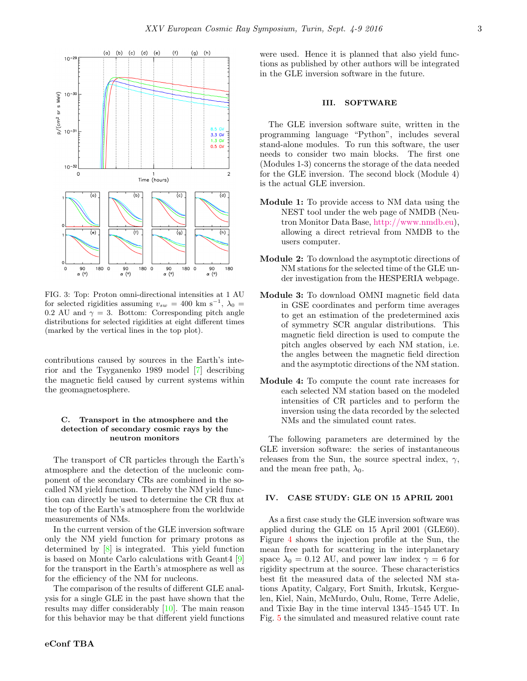

<span id="page-2-0"></span>FIG. 3: Top: Proton omni-directional intensities at 1 AU for selected rigidities assuming  $v_{sw} = 400 \text{ km s}^{-1}$ ,  $\lambda_0 =$ 0.2 AU and  $\gamma = 3$ . Bottom: Corresponding pitch angle distributions for selected rigidities at eight different times (marked by the vertical lines in the top plot).

contributions caused by sources in the Earth's interior and the Tsyganenko 1989 model [\[7\]](#page-3-6) describing the magnetic field caused by current systems within the geomagnetosphere.

# C. Transport in the atmosphere and the detection of secondary cosmic rays by the neutron monitors

The transport of CR particles through the Earth's atmosphere and the detection of the nucleonic component of the secondary CRs are combined in the socalled NM yield function. Thereby the NM yield function can directly be used to determine the CR flux at the top of the Earth's atmosphere from the worldwide measurements of NMs.

In the current version of the GLE inversion software only the NM yield function for primary protons as determined by [\[8\]](#page-3-7) is integrated. This yield function is based on Monte Carlo calculations with Geant4 [\[9\]](#page-3-8) for the transport in the Earth's atmosphere as well as for the efficiency of the NM for nucleons.

The comparison of the results of different GLE analysis for a single GLE in the past have shown that the results may differ considerably [\[10\]](#page-3-9). The main reason for this behavior may be that different yield functions were used. Hence it is planned that also yield functions as published by other authors will be integrated in the GLE inversion software in the future.

#### III. SOFTWARE

The GLE inversion software suite, written in the programming language "Python", includes several stand-alone modules. To run this software, the user needs to consider two main blocks. The first one (Modules 1-3) concerns the storage of the data needed for the GLE inversion. The second block (Module 4) is the actual GLE inversion.

- Module 1: To provide access to NM data using the NEST tool under the web page of NMDB (Neutron Monitor Data Base, [http://www.nmdb.eu\)](http://www.nmdb.eu), allowing a direct retrieval from NMDB to the users computer.
- Module 2: To download the asymptotic directions of NM stations for the selected time of the GLE under investigation from the HESPERIA webpage.
- Module 3: To download OMNI magnetic field data in GSE coordinates and perform time averages to get an estimation of the predetermined axis of symmetry SCR angular distributions. This magnetic field direction is used to compute the pitch angles observed by each NM station, i.e. the angles between the magnetic field direction and the asymptotic directions of the NM station.
- Module 4: To compute the count rate increases for each selected NM station based on the modeled intensities of CR particles and to perform the inversion using the data recorded by the selected NMs and the simulated count rates.

The following parameters are determined by the GLE inversion software: the series of instantaneous releases from the Sun, the source spectral index,  $\gamma$ , and the mean free path,  $\lambda_0$ .

## IV. CASE STUDY: GLE ON 15 APRIL 2001

As a first case study the GLE inversion software was applied during the GLE on 15 April 2001 (GLE60). Figure [4](#page-3-10) shows the injection profile at the Sun, the mean free path for scattering in the interplanetary space  $\lambda_0 = 0.12$  AU, and power law index  $\gamma = 6$  for rigidity spectrum at the source. These characteristics best fit the measured data of the selected NM stations Apatity, Calgary, Fort Smith, Irkutsk, Kerguelen, Kiel, Nain, McMurdo, Oulu, Rome, Terre Adelie, and Tixie Bay in the time interval 1345–1545 UT. In Fig. [5](#page-3-11) the simulated and measured relative count rate